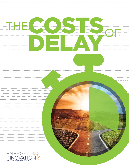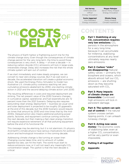**Hal Harvey** *Chief Executive Officer* Energy Innovation

**Sonia Aggarwal** *Vice President* Energy Innovation

**3**

Energy Innovation **Minshu Deng**

**Megan Mahajan** *Senior Policy Analyst*

*Policy Analyst* Climate Imperative

# COSTS DELAY THE COSTS OF

The physics of Earth harbor a frightening punch line for the climate change story: Even though the consequences of climate change persist for the very long term, the time to avoid those consequences is very short. A delay  $-$  of even a decade  $-$  in reducing carbon dioxide  $(CO<sub>2</sub>)$  emissions will lock in large-scale, irreversible change. Delay also increases the risk that the whole climate system will spin out of control.

If we start immediately and make steady progress, we can convert to near-zero energy sources. But if we wait even a decade, the accelerated transition will create a global economic shock. We used the Energy Policy Simulator to model two illustrative U.S. climate policy scenarios reaching net zero cumulative emissions abatement by 2050, one starting climate action in 2021 and the second delaying climate action until 2030.

The resulting differences in costs and required deployment are striking. The net present value of the 2030 Scenario changes in cumulative capital, operational, and fuel expenditures are 72 percent more than the 2021 Scenario. Delaying also requires astounding clean energy deployment — business-as-usual wind and solar deployment is projected to be roughly 20 gigawatts at the end of this decade, but the 2030 Scenario would require six times that amount by 2030 and nine times that by the mid-2030s. Delayed action also means additional polluting power plants, factories, and equipment continue coming online for the next decade, but then making a fast clean energy transition will require expensive retirement of all that polluting equipment before the end of its functional life.

This message may be alarming, but it is not alarmism; it's physics. And Earth's climate physics have serious implications for political action and technological innovation in the coming decade.

Addressing climate change is like turning an ocean liner: Changing course takes time, and no amount of rudder, applied too late, can hit the mark. The world must start to reduce emissions now, or it will not reach any meaningful CO<sub>2</sub> concentration target. The upshot is that the next decade is critical.

**Part 1: Stabilizing at any [CO2 concentration requires](#page-2-0)  very low emissions:**  $CO<sub>2</sub>$ persists in the atmosphere for a very long time; **CONTENTS** 

because it can accumulate for millennia, stabilizing concentrations at any level ultimately requires nearly zero emissions.

**[Part 2: Carbon "sinks"](#page-4-0)  are disappearing:** Natural safety valves – primarily the biosphere and oceans, which absorb almost half our  $CO<sub>2</sub>$ emissions — are shutting down as they become saturated with  $CO<sub>2</sub>$ .

- **Part 3: Many impacts [of climate change are](#page-5-0)  irreversible:** Continued high emissions will lock in persistent damage.
- **[Part 4: The system can spin](#page-7-0)  out of control:** If the natural system crosses certain tipping points, it can unleash runaway change.
- **[Part 5: Acting now saves](#page-10-0)  money:** The economic costs of stabilizing later, even at a higher CO<sub>2</sub> concentration, will be very painful or even impossible.



**16**

#### **[Putting it all together](#page-14-0)**

**[Appendix](#page-15-0)**



**5**

**6**

**8**

**11**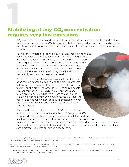# <span id="page-2-0"></span>**Stabilizing at** *any* **CO**<sub>2</sub> concentration requires very low emissions

 $CO<sub>2</sub>$  emissions from the world's economic activities occur on top of a background of finely tuned natural carbon flows. CO<sub>2</sub> is constantly being introduced to, and then absorbed from, the atmosphere through natural processes such as plant growth, animal respiration, and soil erosion.

For millions of years prior to the industrial era, these emission and absorption activities offset each other. But the burning of fossil fuels has introduced as much  $CO<sub>2</sub>$  in the past 50 years as had been sequestered over millions of years. This relatively recent increase in emissions has thrown off the natural balance, and atmospheric CO<sub>2</sub> concentrations have been on the rise since the industrial revolution.<sup>1</sup> Today's level is almost 50 percent higher than the preindustrial level.

We can think of our  $CO<sub>2</sub>$  system as a giant bathtub: The open tap represents emissions, and the drain represents natural carbon absorbers. Because the faucet is running faster than the drain, the water level — which represents  $CO<sub>2</sub>$  concentration  $-$  is rising. The current emissions rate is around double what the system can absorb, so even if we stop the *growth* in emissions, the CO<sub>2</sub> level will continue to rise. Only when we reduce emissions to what the natural systems can absorb will  $CO<sub>2</sub>$  concentrations start to stabilize.

Once emitted, a significant portion of  $CO<sub>2</sub>$  remains in the atmosphere for centuries, or even millennia.<sup>2</sup> Every ton of CO<sub>2</sub> introduced into the atmosphere is therefore cumulative, and the resulting increases in concentration will persist in the atmosphere for thousands of years — regardless of whether emissions are reduced tomorrow.3 That means that stabilizing  $CO<sub>2</sub>$  concentrations at any level, even those far higher than scientists think is safe, ultimately requires emissions close to zero.

<sup>3</sup> U.S. Environmental Protection Agency, "Atmospheric Lifetime and Global Warming Potential Defined." [https://www.epa.gov/climateleadership/](https://www.epa.gov/climateleadership/atmospheric-lifetime-and-global-warming-potential-defined) [atmospheric-lifetime-and-global-warming-potential-defined](https://www.epa.gov/climateleadership/atmospheric-lifetime-and-global-warming-potential-defined)



<sup>1</sup> Pieter Tans and Ralph Keeling, "Trends in Atmospheric Carbon Dioxide," Earth Systems Research Laboratory, National Oceanic and Atmospheric Administration. <https://www.esrl.noaa.gov/gmd/ccgg/trends/weekly.html>

<sup>2</sup> Alan Buis, "The Atmosphere: Getting a "Handle on Carbon Dioxide," NASA's Jet Propulsion Laboratory, October 9, 2019. [https://climate.nasa.gov/](https://climate.nasa.gov/news/2915/the-atmosphere-getting-a-handle-on-carbon-dioxide/) [news/2915/the-atmosphere-getting-a-handle-on-carbon-dioxide/](https://climate.nasa.gov/news/2915/the-atmosphere-getting-a-handle-on-carbon-dioxide/)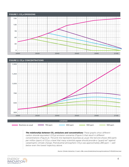



**The relationship between CO<sub>2</sub> emissions and concentrations:** These graphs show different *carbon dioxide equivalent (CO2e) emission scenarios (Figure 1) that result in different concentrations (Figure 2). The pink line represents business as usual; the red one shows 450 parts per million (ppm) of CO2e, a level that many scientists agree should provide a "guard rail" against catastrophic climate change. Preindustrial atmospheric CO<sub>2</sub>e was approximately 280 ppm — well below even the lowest trajectory above.*

*Source: Climate Interactive, C-Learn v38a, [www.climateinteractive.org/simulations/C-ROADS/overview](http://www.climateinteractive.org/simulations/C-ROADS/overview)*

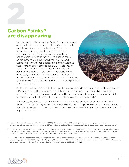# <span id="page-4-0"></span>Carbon "sinks" are disappearing **2008**

Until recently, natural carbon "sinks," primarily oceans and plants, absorbed much of the  $CO<sub>2</sub>$  emitted into the atmosphere. Historically, about 25 percent of the CO<sub>2</sub> dumped into the atmosphere each year is absorbed by the oceans (although this has the nasty effect of making the oceans more acidic, potentially devastating marine life) and approximately another quarter by plants.<sup>4</sup> Without these carbon sinks, atmospheric  $CO<sub>2</sub>$  levels would rise almost twice as fast as they have since the dawn of the industrial era. But as the world emits more CO<sub>2</sub>, these sinks are becoming saturated. This means that even if  $CO<sub>2</sub>$  emissions remain constant, the growth rate of  $CO<sub>2</sub>$  concentrations in the atmosphere will continue to rise.



As the seas warm, their ability to sequester carbon dioxide decreases; in addition, the more CO<sub>2</sub> they absorb, the more acidic they become, further reducing their ability to absorb carbon.5 Meanwhile, changing land-use patterns and deforestation are reducing the ability of plants and soil — Earth's other main carbon sinks — to absorb  $CO_{2}$ .

In essence, these natural sinks have masked the impact of much of our CO<sub>2</sub> emissions. When that physical forgiveness gives out, we will be in deep trouble. Over the next several decades, emissions must be reduced to very low levels to stabilize CO<sub>2</sub> in the atmosphere at any concentration.



<sup>4</sup> National Oceanic and Atmospheric Administration (NOAA), "Ocean-Atmosphere CO2 Exchange." [https://sos.noaa.gov/datasets/ocean](https://sos.noaa.gov/datasets/ocean-atmosphere-co2-exchange/)[atmosphere-co2-exchange/; a](https://sos.noaa.gov/datasets/ocean-atmosphere-co2-exchange/)nd NOAA, "Ocean Acidification: Saturation State."<https://sos.noaa.gov/datasets/ocean-acidification-saturation-state/>

<sup>5</sup> Chris M. Marsay et al, "Attenuation of sinking particulate organic carbon flux through the mesopelagic ocean," *Proceedings of the National Academy of Sciences*, 2015. [https://www.pnas.org/content/early/2015/01/02/1415311112;](https://www.pnas.org/content/early/2015/01/02/1415311112) and Union of Concerned Scientists, "CO2 and Ocean Acidification: Causes, Impacts, Solutions," January 30, 2019.<https://www.ucsusa.org/resources/co2-and-ocean-acidification>

<sup>6</sup> Li Lai et al, "Carbon emissions from land-use change and management in China between 1990 and 2010," *Science Advances*, 2016. [https://advances.](https://advances.sciencemag.org/content/2/11/e1601063) [sciencemag.org/content/2/11/e1601063](https://advances.sciencemag.org/content/2/11/e1601063); and Lei Deng et al, "Global patterns of the effects of land-use changes on soil carbon stocks," *Global Ecology and Conservation*, January 2016. <https://www.sciencedirect.com/science/article/pii/S2351989415300226>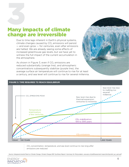# <span id="page-5-0"></span>**Many impacts of climate** change are irreversible

Due to time lags inherent in Earth's physical systems, climate changes caused by CO<sub>2</sub> emissions will persist  $-$  and even grow  $-$  for centuries, even after emissions are halted. We are already seeing some effects of increased greenhouse gas levels, but we have yet to witness the full impact of the current accumulation in the atmosphere.

As shown in Figure 3, even if  $CO<sub>2</sub>$  emissions are reduced substantially (orange line), and atmospheric concentrations subsequently stabilize (purple line), the average surface air temperature will continue to rise for at least a century, and sea level will continue to rise for several millennia.

#### **FIGURE 3: TIME REQUIRED TO REACH EQUILIBRIUM**



*CO2 concentration, temperature, and sea level continue to rise long after emissions are reduced.* 

*Source: Intergovernmental Panel on Climate Change, Climate Change 2001: Synthesis Report—Summary for Policymakers. [www.ipcc.ch/pdf/assessment-report/ar4/syr/ar4\\_syr\\_spm.pdf](http://www.ipcc.ch/pdf/assessment-report/ar4/syr/ar4_syr_spm.pdf)*

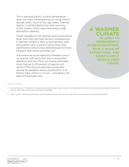This is because Earth's surface temperature does not react instantaneously to rising carbon dioxide levels. Much of this lag, called "thermal inertia," is attributable to the slow warming of the oceans, which have tremendous heatabsorption capacity.

These changes do not reverse, even as emissions drop. And they can have serious consequences. A warmer climate is likely to permanently alter ecosystems, spur a wave of extinctions, and significantly reduce crop yields because of more frequent heat waves and drier soil.<sup>7</sup>

A business-as-usual trajectory threatens one in six species with extinction due to ecosystem alteration and loss. More worrisome estimates show that up to 23 percent of species will vanish.8 Even the low estimate would rank among the greatest waves of extinction in all history. Early action is crucial — and delays will lead to irreversible loss.

**A WARMER CLIMATE IS LIKELY TO PERMANENTLY ALTER ECOSYSTEMS, SPUR A WAVE OF EXTINCTIONS, AND SIGNIFICANTLY REDUCE CROP YIELDS.**



<sup>7</sup> Chuang Zhao et al, "Temperature increase reduces global yields of major crops in four independent estimates," *Proceedings of the National Academy of Sciences*, 2017.<https://www.pnas.org/content/114/35/9326>

<sup>8</sup> Mark C. Urban, "Accelerating extinction risk from climate change," *Science*, 2015.<https://science.sciencemag.org/content/348/6234/571>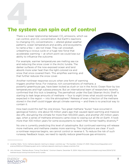# <span id="page-7-0"></span>The system can spin out of control

There is a linear relationship between  $CO<sub>2</sub>$  emissions, which we can control, and CO<sub>2</sub> concentration. But Earth's reactions to changing  $CO<sub>2</sub>$  concentrations  $-$  altered global weather patterns, ocean temperature and acidity, and ecosystems, to name a few — are not linear. They can snowball, unleashing a vicious cycle or a huge new force that accelerates warming — at which point we could lose our ability to influence the outcome.

For example, warmer temperatures are melting sea ice and reducing the snow cover in the Arctic tundra. The darker surfaces of the now-exposed ocean and land absorb more solar heat than the light-colored ice and snow that once covered them. This amplifies warming, and that further reduces the snow cover.



Another nonlinear response occurs when one form of warming triggers another force. For instance, rich concentrations of methane, a powerful greenhouse gas, have been locked as slush or ice in the Arctic Ocean floor by low temperatures and high subsea pressure. But an international team of researchers recently confirmed that this lock is breaking: The permafrost under the East Siberian Arctic Shelf is starting to leak large amounts of methane — four to eight times what would normally be expected in the region  $-$  into the atmosphere. $\degree$  Release of even a fraction of the methane stored in the shelf could trigger abrupt climate warming — and there is no practical way to contain it.

How bad could this be? No one knows. Two great methane "burps" have occurred in geological history: one about 55 million years ago that caused rapid warming and massive die-offs, disrupting the climate for more than 100,000 years, and another 251 million years ago, when a series of methane emissions came close to wiping out all life on Earth. It took more than 100 million years for some ecosystems to reach their former healthy diversity.<sup>10</sup>

No one is currently predicting this level of catastrophe. But continued warming will release more methane, and methane creates more warming. The implications are clear: If such a nonlinear response begins, we cannot control or reverse it. To reduce the risk of such runaway feedback loops, we need to rapidly reduce greenhouse gas emissions.

<sup>10</sup> John Atcheson, "Methane Burps: Ticking Time Bomb," *Common Dreams*, December 15, 2004. [https://www.commondreams.org/views/2004/12/15/](https://www.commondreams.org/views/2004/12/15/methane-burps-ticking-time-bomb-arctic-tundra) [methane-burps-ticking-time-bomb-arctic-tundra](https://www.commondreams.org/views/2004/12/15/methane-burps-ticking-time-bomb-arctic-tundra)



<sup>9</sup> [Jonathan](http://Jonathan) Watts, "Arctic methane deposits 'starting to release', scientists say," *The Guardian*, October 27, 2020. [https://www.theguardian.com/](https://www.theguardian.com/science/2020/oct/27/sleeping-giant-arctic-methane-deposits-starting-to-release-scientists-find) [science/2020/oct/27/sleeping-giant-arctic-methane-deposits-starting-to-release-scientists-find](https://www.theguardian.com/science/2020/oct/27/sleeping-giant-arctic-methane-deposits-starting-to-release-scientists-find)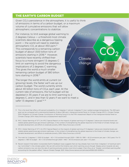#### THE EARTH'S CARBON BUDGET

Given CO<sub>2</sub>'s persistence in the atmosphere, it is useful to think of emissions in terms of a carbon budget, or a maximum volume of cumulative emissions that will allow atmospheric concentrations to stabilize.

For instance, to limit average global warming to 2 degrees Celsius — a threshold most climate scientists describe as a dangerous tipping point — the world will need to stabilize atmospheric  $CO<sub>2</sub>$  at about 450 ppm.<sup>11</sup> This corresponds to a remaining carbon budget of about 1,500 billion tons of emissions starting in 2018.<sup>12</sup> However, scientists have recently shifted their focus to a more stringent 1.5 degrees C limit on warming to avoid the dangerous implications of 2 degrees C warming. This gives the world a much smaller remaining carbon budget of 580 billion tons starting in 2018.<sup>13</sup>

The longer the world emits at current (or growing) levels, the faster we'll use up our carbon budget. The world currently emits about 40 billion tons of  $CO<sub>2</sub>e$ , each year. At the current rate of emissions, the full budget will be depleted in 35 years if we are to limit warming to 2 degrees C, and in less than 12 years if we want to meet a safer 1.5 degrees C goal.<sup>14, 15</sup>



- 14 The math for 2 degrees C: 1,500 Gt budget 40 × 3 Gt emitted through 2020 = 1380 Gt; 1380 ÷ 40 Gt emissions per year = 34.5 years. For 1.5 degrees C: 580 Gt budget – 40 × 3 Gt emitted through 2020 = 460 ÷ 40 Gt emissions per year = 11.5 years
- 15 Recent research that better incorporates Earth's feedback loops suggests that we may already have more than 2 degrees C of eventual warming "committed" in the climate system. We can still control the timeline over which warming occurs though. Steady action towards net zero carbon emissions now can slow the rate of warming and give society more time to adapt. Chen Zhou et al, "Greater committed warming after accounting for the pattern effect," *Nature Climate Change*, 2021.<https://www.nature.com/articles/s41558-020-00955-x>



<sup>11</sup> This is the level that offers a 50 percent probability of a 2 degrees C (almost 4 degrees F) rise in global average temperatures. The 450-ppm goal can be compared with a preindustrial baseline of about 280 ppm. Intergovernmental Panel on Climate Change (IPCC), Climate Change 2014: Mitigation of Climate Change. Contribution of Working Group III to the Fifth Assessment Report of the Intergovernmental Panel on Climate Change, 2014.<https://www.ipcc.ch/assessment-report/ar5/>

<sup>12</sup> IPCC, Global Warming of 1.5° C.An IPCC Special Report on the impacts of global warming of 1.5 degrees C above pre-industrial levels and related global greenhouse gas emission pathways, in the context of strengthening the global response to the threat of climate change, sustainable development, and efforts to eradicate poverty, 2018. <https://www.ipcc.ch/sr15/>

<sup>13</sup> IPCC, Global Warming of 1.5° C.An IPCC Special Report on the impacts of global warming of 1.5 degrees C above pre-industrial levels and related global greenhouse gas emission pathways, in the context of strengthening the global response to the threat of climate change, sustainable development, and efforts to eradicate poverty, 2018. <https://www.ipcc.ch/sr15/>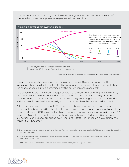This concept of a carbon budget is illustrated in Figure 4 as the area under a series of curves, which show total greenhouse gas emissions over time.



*The longer we wait to reduce emissions, the more quickly the reductions will need to happen.*

*Source: Climate Interactive, C-Learn v38a, [www.climateinteractive.org/simulations/C-ROADS/overview](http://www.climateinteractive.org/simulations/C-ROADS/overview)*

The area under each curve corresponds to atmospheric CO<sub>2</sub> concentrations. In this simulation, they are all set equally, at a 450-ppm goal. For a given ultimate concentration, the shape of each curve is determined by the date when emissions peak.

This shape matters: The carbon budget shows that the later the peak in global emissions, the more drastic the emissions reductions required to meet the 450-ppm goal. Steep declines represent economic and social trauma, as high-emitting industries and individual activities would need to be summarily shut down to achieve the needed reductions.<sup>16</sup>

After a certain point, a reasonable CO<sub>2</sub> target level becomes impossible. Had serious climate action begun in 2010, the global emissions reductions required per year to meet the emissions level in 2030 consistent with a 1.5 degrees C warming scenario would only be 3.3 percent.17 Since this did not happen, getting back on track to 1.5 degrees C now requires a 6 percent cut in global emissions every year until 2030. The longer we delay action, the harder it will become.<sup>18</sup>



<sup>16</sup> These curves are physical models, not political projections. They show that to land at a reasonable level of CO<sub>2</sub> concentrations, the reductions must start right away.

<sup>17</sup> United Nations Environment Programme (UNEP), Emissions Gap Report 2019, 2019. [https://www.unenvironment.org/resources/](https://www.unenvironment.org/resources/emissions-gap-report-2019) [emissions-gap-report-2019](https://www.unenvironment.org/resources/emissions-gap-report-2019)

<sup>18</sup> UNEP, Emissions Gap Report 2020, 2020.<https://www.unenvironment.org/emissions-gap-report-2020>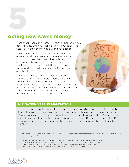<span id="page-10-0"></span>5

## Acting now saves money

Most energy-consuming assets — such as homes, offices, power plants, and industrial facilities — have long lives that lock in their energy use patterns for decades.

The cheapest way to reduce  $CO<sub>2</sub>$  emissions is to ensure that all new capital equipment — factories, buildings, power plants, and cities — is very efficient and is powered by low-carbon sources. It will be enormously costly if the world misses this opportunity, builds inefficient infrastructure, and then has to renovate it.

It is not difficult to halve the energy consumed in most sectors. For example, a house built with thick insulation, high-performance windows, and an efficient furnace uses very little energy, year after year—and costs only nominally more to build than an inefficient home. In contrast, fixing up a leaky house is much more expensive — and less effective.

### MITIGATION VERSUS ADAPTATION

The longer we delay, the more likely we are to face irreversible impacts and therefore be forced to make far costlier investments in human relocation and adaptation. The *Stern Review*, for example, estimated that mitigation would cost 1 percent of GDP, whereas the cost of dealing with unabated climate change could reach 20 percent or more of GDP.19 Several subsequent studies indicate that the costs of adaptation will be substantially higher.20



<sup>19</sup> *Stern Review on the Economics of Climate Change*, October 2006. [http://webarchive.nationalarchives.gov.uk/+/http:/www.hm-treasury.gov.](http://webarchive.nationalarchives.gov.uk/+/http:/www.hm-treasury.gov.uk/sternreview_index.htm) [uk/sternreview\\_index.htm](http://webarchive.nationalarchives.gov.uk/+/http:/www.hm-treasury.gov.uk/sternreview_index.htm)

<sup>20</sup> International Monetary Fund, *Finance and Development: The Economics of Climate*, December 2019. [https://www.](https://www.imf.org/external/pubs/ft/fandd/2019/12/pdf/fd1219.pdf) [imf.org/external/pubs/ft/fandd/2019/12/pdf/fd1219.pdf](https://www.imf.org/external/pubs/ft/fandd/2019/12/pdf/fd1219.pdf); and Kahn et al, "Long-Term Macroeconomic Effects of Climate Change: A Cross-Country Analysis," 2019. [https://www.imf.org/en/Publications/WP/Issues/2019/10/11/](https://www.imf.org/en/Publications/WP/Issues/2019/10/11/Long-Term-Macroeconomic-Effects-of-Climate-Change-A-Cross-Country-Analysis-48691) [Long-Term-Macroeconomic-Effects-of-Climate-Change-A-Cross-Country-Analysis-48691](https://www.imf.org/en/Publications/WP/Issues/2019/10/11/Long-Term-Macroeconomic-Effects-of-Climate-Change-A-Cross-Country-Analysis-48691)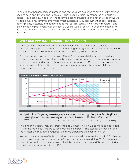To ensure that houses, cars, equipment, and factories are designed to save energy, nations need to have energy efficiency policies — such as fuel efficiency standards and building codes — in place now, not later. And to drive clean technologies and get the rest of the way to zero emissions, governments must invest substantially in deployment of zero-carbon power plants, factories, and equipment as well as R&D today. If we start immediately and make steady improvement over the next 30 years, we can convert our energy supplies to near-zero sources. If we wait even a decade, the accelerated transition will shock the global economy.

#### WHY 650 PPM ISN'T EASIER THAN 450 PPM

An often-cited goal for controlling climate change is to stabilize CO<sub>2</sub> concentrations at 450 ppm. Many people assume that a less-stringent target — such as 650 ppm — would be easier to meet. But under most realistic scenarios, this is not true.

This counterintuitive story is shown in Figure 5. If the world delays action to reduce emissions, we will continue along the business-as-usual curve, emitting more greenhouse gases each year and accumulating higher concentrations of CO<sub>2</sub> in the atmosphere. But, as we know, to stabilize  $CO<sub>2</sub>$  in the atmosphere at any concentration, we still need to reduce emissions to nearly zero.



**Speed of drop.** Whereas a slow reduction in emissions can be coordinat-**Size of drop.** Total size of the reed with ordinary capital stock turnover, a fast drop would likely require quired drop. A larger total reduction '///. scrapping equipment early in its operating life—a much more expensive requires more capital. scenario.

*Source: Climate Interactive, C-Learn v38a, [www.climateinteractive.org/simulations/C-ROADS/overview](http://www.climateinteractive.org/simulations/C-ROADS/overview)*

The longer we delay, then, the greater the adjustments we'll have to make to get to zero — and the more likely we are to face irreversible impacts. The steeper the decline, and the greater the reductions required, the more expensive the changes will be.

We can compare these effects to driving on an icy road. It's easier to slow to 20 miles per hour when you're motoring along at 40 mph than when you're doing 60. By the same token, if we wait to reduce emissions, it will be harder to achieve a 650-ppm equilibrium than if we start now and aim for 450 ppm.

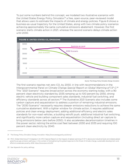To put some numbers behind this concept, we modeled two illustrative scenarios with the United States Energy Policy Simulator,<sup>21</sup> a free, open-source, peer-reviewed model that allows users to estimate the impacts of climate and energy policies. Figure 6 shows a business-as-usual trajectory for the United States, along with two climate policy scenarios achieving approximately the same cumulative emissions abatement. However, the first scenario starts climate action in 2021, whereas the second scenario delays climate action until 2030.



*Source: The Energy Policy Simulator, Energy Innovation*

The first scenario reaches net zero CO, by 2050, in line with recommendations in the Intergovernmental Panel on Climate Change *Special Report on Global Warming of 1.5° C*. 22 This "2021 Scenario" requires broad action across the economy starting today, with a 90 percent clean electricity standard by 2035 ramping up to 100 percent by 2050, strong electric vehicle and building component sales standards, industrial fuel switching, and efficiency standards across all sectors.<sup>23</sup> The illustrative 2021 Scenario also includes some carbon capture and sequestration to address a portion of remaining industrial emissions. The "2030 Scenario" necessarily requires steeper emissions reductions to achieve the same cumulative abatement. With a tighter window for climate action, it requires additional policies and clean energy deployment, adding additional efficiency and electric sales standards for non-road vehicles, a building retrofit push, additional industrial fuel switching, and significantly more carbon capture and sequestration (including direct air capture to bring emissions below zero before 2050). It also accelerates decarbonization timelines in the power sector, retiring the entire coal fleet between 2030 and 2035 and requiring 100 percent clean electricity by 2040.



<sup>21</sup> The Energy Policy Simulator, Energy Innovation.<https://www.energypolicy.solutions/>

<sup>22</sup> IPCC, Global Warming of 1.5 degrees C.An IPCC Special Report on the impacts of global warming of 1.5° C above pre-industrial levels and related global greenhouse gas emission pathways, in the context of strengthening the global response to the threat of climate change, sustainable development, and efforts to eradicate poverty, 2018.<https://www.ipcc.ch/sr15/>

[<sup>23</sup> See Appendix for policy settings.](#page-15-0)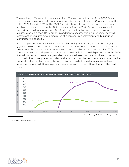The resulting differences in costs are striking. The net present value of the 2030 Scenario changes in cumulative capital, operational, and fuel expenditures are 72 percent more than in the 2021 Scenario.24 While the 2021 Scenario shows changes in annual expenditures reaching a maximum of roughly \$320 billion in 2035, the 2030 Scenario sees annual expenditures ballooning to nearly \$750 billion in the first five years before growing to a maximum of more than \$900 billion. In addition to accumulating higher costs, delaying climate action requires astounding rates of clean energy deployment and buildout of manufacturing capacity.

For example, business-as-usual wind and solar deployment is projected to be roughly 20 gigawatts (GW) at the end of this decade, but the 2030 Scenario would require six times that amount by the end of this decade and nine times that amount by the mid-2030s. These solar and wind deployment rates could be doable, but the delayed action in the 2030 Scenario would also result in a great deal of stranded assets — if we continue to buy and build polluting power plants, factories, and equipment for the next decade, and then decide we must make the clean energy transition fast to avoid climate damages, we will need to retire much more polluting equipment before the end of its functional life. And that isn't cheap.



*Source: The Energy Policy Simulator, Energy Innovation*



<sup>24</sup> Assuming a 3 percent discount rate.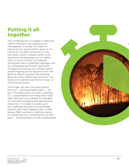## <span id="page-14-0"></span>Putting it all together

The consequences of a delay in reducing carbon emissions are insidious and inescapable. To recap: The math of historical CO 2 accumulation gives us no choice but to slash emissions to very low levels. Earth's natural carbon sinks are becoming saturated, so our safety valve is slowly closing; our planet's ecosystems face irreversible damage such as widespread extinctions; and these changes are pushing our climate system toward tipping points beyond which the domino effects could be devastating. Because many effects lag emissions, we have yet to experience the full impact of historical emissions.

The longer we wait, the more drastic the cuts — and associated costs — will be. If we delay action for even a decade, CO 2 concentrations will likely blow right past 450 ppm and unleash the dangers of nonlinear ecological and geophysical responses. If, instead, we step up to the challenge and pass strong energy policies and invest aggressively in clean energy R&D, we have a fighting chance of containing CO 2 concentrations at 450 ppm — and averting a climate catastrophe.